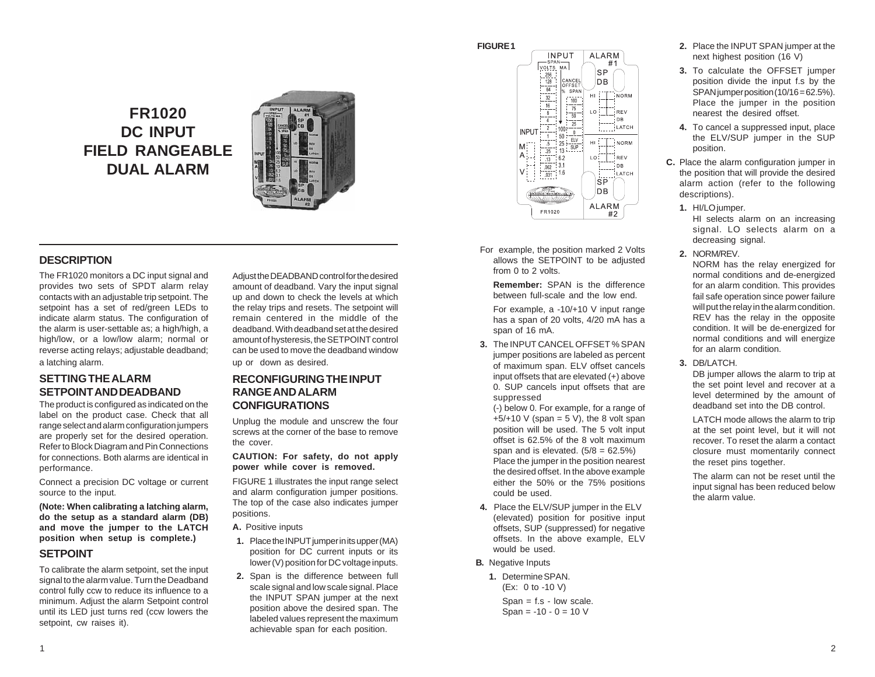**FIGURE 1**

**FR1020 DC INPUT FIELD RANGEABLE DUAL ALARM**



# **DESCRIPTION**

The FR1020 monitors a DC input signal and provides two sets of SPDT alarm relay contacts with an adjustable trip setpoint. The setpoint has a set of red/green LEDs to indicate alarm status. The configuration of the alarm is user-settable as; a high/high, a high/low, or a low/low alarm; normal or reverse acting relays; adjustable deadband; a latching alarm.

# **SETTING THE ALARM SETPOINT AND DEADBAND**

The product is configured as indicated on the label on the product case. Check that all range select and alarm configuration jumpers are properly set for the desired operation. Refer to Block Diagram and Pin Connections for connections. Both alarms are identical in performance.

Connect a precision DC voltage or current source to the input.

**(Note: When calibrating a latching alarm, do the setup as a standard alarm (DB) and move the jumper to the LATCH position when setup is complete.)**

# **SETPOINT**

To calibrate the alarm setpoint, set the input signal to the alarm value. Turn the Deadband control fully ccw to reduce its influence to a minimum. Adjust the alarm Setpoint control until its LED just turns red (ccw lowers the setpoint, cw raises it).

Adjust the DEADBAND control for the desired amount of deadband. Vary the input signal up and down to check the levels at which the relay trips and resets. The setpoint will remain centered in the middle of the deadband. With deadband set at the desired amount of hysteresis, the SETPOINT control can be used to move the deadband window up or down as desired.

# **RECONFIGURING THE INPUT RANGE AND ALARM CONFIGURATIONS**

Unplug the module and unscrew the four screws at the corner of the base to remove the cover.

**CAUTION: For safety, do not apply power while cover is removed.**

FIGURE 1 illustrates the input range select and alarm configuration jumper positions. The top of the case also indicates jumper positions.

- **A.** Positive inputs
- **1.** Place the INPUT jumper in its upper (MA) position for DC current inputs or its lower (V) position for DC voltage inputs.
- **2.** Span is the difference between full scale signal and low scale signal. Place the INPUT SPAN jumper at the next position above the desired span. The labeled values represent the maximum achievable span for each position.



For example, the position marked 2 Volts allows the SETPOINT to be adjusted from 0 to 2 volts.

> **Remember:** SPAN is the difference between full-scale and the low end.

> For example, a -10/+10 V input range has a span of 20 volts, 4/20 mA has a span of 16 mA.

**3.** The INPUT CANCEL OFFSET % SPAN jumper positions are labeled as percent of maximum span. ELV offset cancels input offsets that are elevated (+) above 0. SUP cancels input offsets that are suppressed

(-) below 0. For example, for a range of  $+5/+10$  V (span = 5 V), the 8 volt span position will be used. The 5 volt input offset is 62.5% of the 8 volt maximum span and is elevated.  $(5/8 = 62.5\%)$ Place the jumper in the position nearest the desired offset. In the above example either the 50% or the 75% positions could be used.

- **4.** Place the ELV/SUP jumper in the ELV (elevated) position for positive input offsets, SUP (suppressed) for negative offsets. In the above example, ELV would be used.
- **B.** Negative Inputs

**1.** Determine SPAN. (Ex: 0 to -10 V) Span = f.s - low scale. Span =  $-10 - 0 = 10$  V

- **2.** Place the INPUT SPAN jumper at the next highest position (16 V)
- **3.** To calculate the OFFSET jumper position divide the input f.s by the SPAN jumper position (10/16 = 62.5%). Place the jumper in the position nearest the desired offset.
- **4.** To cancel a suppressed input, place the ELV/SUP jumper in the SUP position.
- **C.** Place the alarm configuration jumper in the position that will provide the desired alarm action (refer to the following descriptions).
	- **1.** HI/LO jumper.

HI selects alarm on an increasing signal. LO selects alarm on a decreasing signal.

**2.** NORM/REV.

NORM has the relay energized for normal conditions and de-energized for an alarm condition. This provides fail safe operation since power failure will put the relay in the alarm condition. REV has the relay in the opposite condition. It will be de-energized for normal conditions and will energize for an alarm condition.

**3.** DB/LATCH.

DB jumper allows the alarm to trip at the set point level and recover at a level determined by the amount of deadband set into the DB control.

LATCH mode allows the alarm to trip at the set point level, but it will not recover. To reset the alarm a contact closure must momentarily connect the reset pins together.

The alarm can not be reset until the input signal has been reduced below the alarm value.